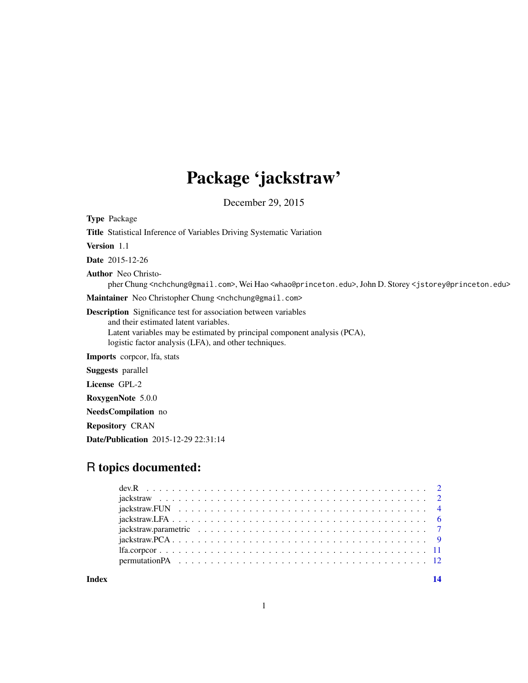# Package 'jackstraw'

December 29, 2015

| <b>Type Package</b>                                                                                                                                                                                                                                  |
|------------------------------------------------------------------------------------------------------------------------------------------------------------------------------------------------------------------------------------------------------|
| <b>Title</b> Statistical Inference of Variables Driving Systematic Variation                                                                                                                                                                         |
| <b>Version</b> 1.1                                                                                                                                                                                                                                   |
| <b>Date</b> 2015-12-26                                                                                                                                                                                                                               |
| <b>Author</b> Neo Christo-<br>pher Chung <nchchung@gmail.com>, Wei Hao <whao@princeton.edu>,John D. Storey <jstorey@princeton.edu></jstorey@princeton.edu></whao@princeton.edu></nchchung@gmail.com>                                                 |
| Maintainer Neo Christopher Chung <nchchung@gmail.com></nchchung@gmail.com>                                                                                                                                                                           |
| <b>Description</b> Significance test for association between variables<br>and their estimated latent variables.<br>Latent variables may be estimated by principal component analysis (PCA),<br>logistic factor analysis (LFA), and other techniques. |
| <b>Imports</b> corpoor, Ifa, stats                                                                                                                                                                                                                   |
| <b>Suggests</b> parallel                                                                                                                                                                                                                             |
| License GPL-2                                                                                                                                                                                                                                        |
| RoxygenNote 5.0.0                                                                                                                                                                                                                                    |
| <b>NeedsCompilation</b> no                                                                                                                                                                                                                           |
| <b>Repository CRAN</b>                                                                                                                                                                                                                               |

## Date/Publication 2015-12-29 22:31:14

### R topics documented:

**Index** 2008 **[14](#page-13-0)**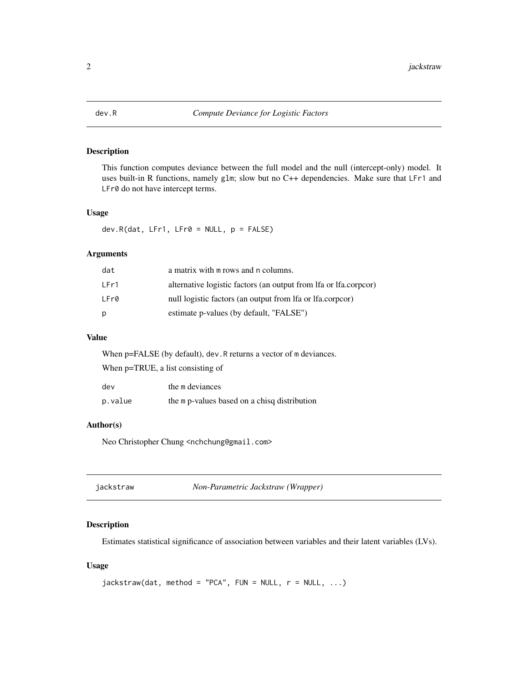<span id="page-1-0"></span>

#### Description

This function computes deviance between the full model and the null (intercept-only) model. It uses built-in R functions, namely glm; slow but no C++ dependencies. Make sure that LFr1 and LFr0 do not have intercept terms.

#### Usage

dev.R(dat, LFr1, LFr0 = NULL, p = FALSE)

#### Arguments

| dat  | a matrix with m rows and n columns.                              |
|------|------------------------------------------------------------------|
| LFr1 | alternative logistic factors (an output from lfa or lfa.corpcor) |
| LFr0 | null logistic factors (an output from lfa or lfa.corpcor)        |
| D    | estimate p-values (by default, "FALSE")                          |

#### Value

When p=FALSE (by default), dev.R returns a vector of m deviances.

When p=TRUE, a list consisting of

| dev     | the m deviances                              |
|---------|----------------------------------------------|
| p.value | the m p-values based on a chisq distribution |

#### Author(s)

Neo Christopher Chung <nchchung@gmail.com>

<span id="page-1-1"></span>

| jackstraw | Non-Parametric Jackstraw (Wrapper) |
|-----------|------------------------------------|
|-----------|------------------------------------|

#### Description

Estimates statistical significance of association between variables and their latent variables (LVs).

#### Usage

```
jackstraw(data, method = "PCA", FUN = NULL, r = NULL, ...)
```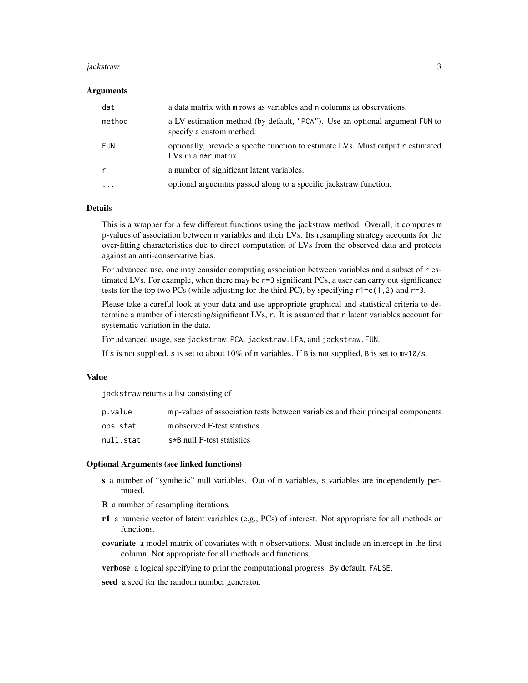#### jackstraw 3

#### Arguments

| dat          | a data matrix with m rows as variables and n columns as observations.                                     |
|--------------|-----------------------------------------------------------------------------------------------------------|
| method       | a LV estimation method (by default, "PCA"). Use an optional argument FUN to<br>specify a custom method.   |
| FUN          | optionally, provide a specfic function to estimate LVs. Must output r estimated<br>LVs in a $n*r$ matrix. |
| $\mathsf{r}$ | a number of significant latent variables.                                                                 |
| $\cdots$     | optional arguement passed along to a specific jackstraw function.                                         |

#### **Details**

This is a wrapper for a few different functions using the jackstraw method. Overall, it computes m p-values of association between m variables and their LVs. Its resampling strategy accounts for the over-fitting characteristics due to direct computation of LVs from the observed data and protects against an anti-conservative bias.

For advanced use, one may consider computing association between variables and a subset of r estimated LVs. For example, when there may be r=3 significant PCs, a user can carry out significance tests for the top two PCs (while adjusting for the third PC), by specifying  $r1 = c(1,2)$  and  $r=3$ .

Please take a careful look at your data and use appropriate graphical and statistical criteria to determine a number of interesting/significant LVs, r. It is assumed that r latent variables account for systematic variation in the data.

For advanced usage, see jackstraw.PCA, jackstraw.LFA, and jackstraw.FUN.

If s is not supplied, s is set to about  $10\%$  of m variables. If B is not supplied, B is set to  $m*10/s$ .

#### Value

jackstraw returns a list consisting of

| p.value   | m p-values of association tests between variables and their principal components |
|-----------|----------------------------------------------------------------------------------|
| obs.stat  | m observed F-test statistics                                                     |
| null.stat | s*B null F-test statistics                                                       |

#### Optional Arguments (see linked functions)

- s a number of "synthetic" null variables. Out of m variables, s variables are independently permuted.
- B a number of resampling iterations.
- r1 a numeric vector of latent variables (e.g., PCs) of interest. Not appropriate for all methods or functions.
- covariate a model matrix of covariates with n observations. Must include an intercept in the first column. Not appropriate for all methods and functions.

verbose a logical specifying to print the computational progress. By default, FALSE.

seed a seed for the random number generator.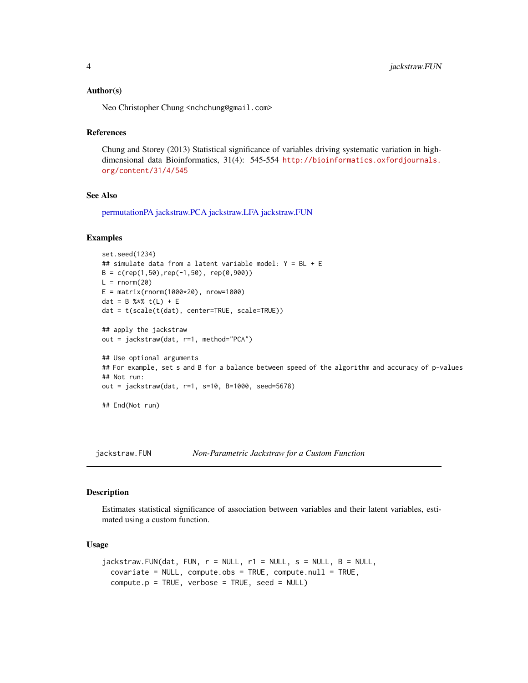#### <span id="page-3-0"></span>Author(s)

Neo Christopher Chung <nchchung@gmail.com>

#### References

Chung and Storey (2013) Statistical significance of variables driving systematic variation in highdimensional data Bioinformatics, 31(4): 545-554 [http://bioinformatics.oxfordjournals.](http://bioinformatics.oxfordjournals.org/content/31/4/545) [org/content/31/4/545](http://bioinformatics.oxfordjournals.org/content/31/4/545)

#### See Also

[permutationPA](#page-11-1) [jackstraw.PCA](#page-8-1) [jackstraw.LFA](#page-5-1) [jackstraw.FUN](#page-3-1)

#### Examples

```
set.seed(1234)
## simulate data from a latent variable model: Y = BL + E
B = c(rep(1,50), rep(-1,50), rep(0,900))L = rnorm(20)E = matrix(rnorm(1000*20), nrow=1000)dat = B %*% t(L) + E
dat = t(scale(t(dat), center=TRUE, scale=TRUE))
## apply the jackstraw
out = jackstraw(dat, r=1, method="PCA")
## Use optional arguments
## For example, set s and B for a balance between speed of the algorithm and accuracy of p-values
## Not run:
out = jackstraw(dat, r=1, s=10, B=1000, seed=5678)
## End(Not run)
```
<span id="page-3-1"></span>jackstraw.FUN *Non-Parametric Jackstraw for a Custom Function*

#### Description

Estimates statistical significance of association between variables and their latent variables, estimated using a custom function.

#### Usage

```
jackstraw.FUN(data, FUN, r = NULL, r1 = NULL, s = NULL, B = NULL,covariate = NULL, compute.obs = TRUE, compute.null = TRUE,
 compute.p = TRUE, verbose = TRUE, seed = NULL)
```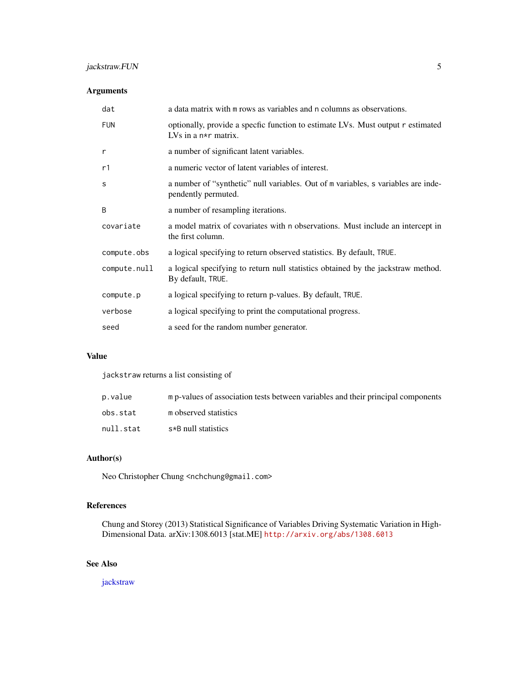### <span id="page-4-0"></span>jackstraw.FUN 5

#### Arguments

| dat          | a data matrix with m rows as variables and n columns as observations.                                     |
|--------------|-----------------------------------------------------------------------------------------------------------|
| <b>FUN</b>   | optionally, provide a specfic function to estimate LVs. Must output r estimated<br>LVs in a $n*r$ matrix. |
| r            | a number of significant latent variables.                                                                 |
| r1           | a numeric vector of latent variables of interest.                                                         |
| S            | a number of "synthetic" null variables. Out of m variables, s variables are inde-<br>pendently permuted.  |
| B            | a number of resampling iterations.                                                                        |
| covariate    | a model matrix of covariates with n observations. Must include an intercept in<br>the first column.       |
| compute.obs  | a logical specifying to return observed statistics. By default, TRUE.                                     |
| compute.null | a logical specifying to return null statistics obtained by the jackstraw method.<br>By default, TRUE.     |
| compute.p    | a logical specifying to return p-values. By default, TRUE.                                                |
| verbose      | a logical specifying to print the computational progress.                                                 |
| seed         | a seed for the random number generator.                                                                   |

#### Value

jackstraw returns a list consisting of

| p.value   | m p-values of association tests between variables and their principal components |
|-----------|----------------------------------------------------------------------------------|
| obs.stat  | m observed statistics                                                            |
| null.stat | s*B null statistics                                                              |

#### Author(s)

Neo Christopher Chung <nchchung@gmail.com>

#### References

Chung and Storey (2013) Statistical Significance of Variables Driving Systematic Variation in High-Dimensional Data. arXiv:1308.6013 [stat.ME] <http://arxiv.org/abs/1308.6013>

#### See Also

[jackstraw](#page-1-1)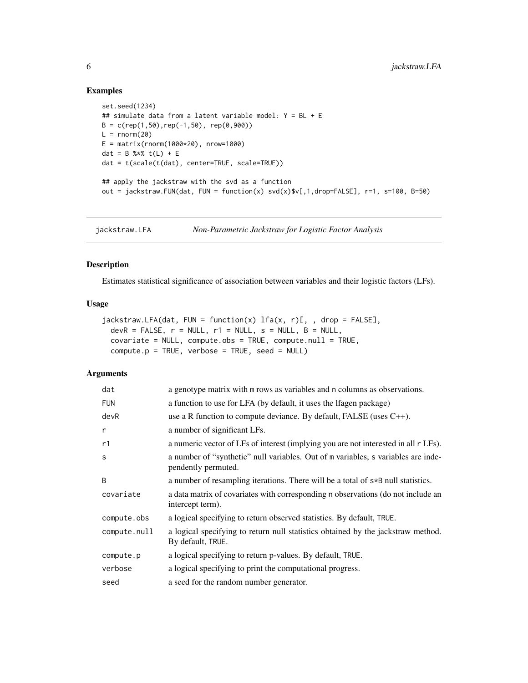#### Examples

```
set.seed(1234)
## simulate data from a latent variable model: Y = BL + E
B = c(\text{rep}(1, 50), \text{rep}(-1, 50), \text{rep}(0, 900))L = rnorm(20)E = matrix(rnorm(1000*20), nrow=1000)dat = B %*% t(L) + E
dat = t(scale(t(dat), center=TRUE, scale=TRUE))
## apply the jackstraw with the svd as a function
out = jackstraw.FUN(dat, FUN = function(x) sv([0,1,0] svd(x)$v[,1,drop=FALSE], r=1, s=100, B=50)
```
<span id="page-5-1"></span>jackstraw.LFA *Non-Parametric Jackstraw for Logistic Factor Analysis*

#### Description

Estimates statistical significance of association between variables and their logistic factors (LFs).

#### Usage

```
jackstraw.LFA(data, FUN = function(x) Ifa(x, r)[, , drop = FALSE],devR = FALSE, r = NULL, r1 = NULL, s = NULL, B = NULL,covariate = NULL, compute.obs = TRUE, compute.null = TRUE,
 compute.p = TRUE, verbose = TRUE, seed = NULL)
```
#### Arguments

| dat          | a genotype matrix with m rows as variables and n columns as observations.                                |
|--------------|----------------------------------------------------------------------------------------------------------|
| <b>FUN</b>   | a function to use for LFA (by default, it uses the lfagen package)                                       |
| devR         | use a R function to compute deviance. By default, FALSE (uses $C_{++}$ ).                                |
| r            | a number of significant LFs.                                                                             |
| r1           | a numeric vector of LFs of interest (implying you are not interested in all r LFs).                      |
| S            | a number of "synthetic" null variables. Out of m variables, s variables are inde-<br>pendently permuted. |
| B            | a number of resampling iterations. There will be a total of $s*B$ null statistics.                       |
| covariate    | a data matrix of covariates with corresponding n observations (do not include an<br>intercept term).     |
| compute.obs  | a logical specifying to return observed statistics. By default, TRUE.                                    |
| compute.null | a logical specifying to return null statistics obtained by the jackstraw method.<br>By default, TRUE.    |
| compute.p    | a logical specifying to return p-values. By default, TRUE.                                               |
| verbose      | a logical specifying to print the computational progress.                                                |
| seed         | a seed for the random number generator.                                                                  |

<span id="page-5-0"></span>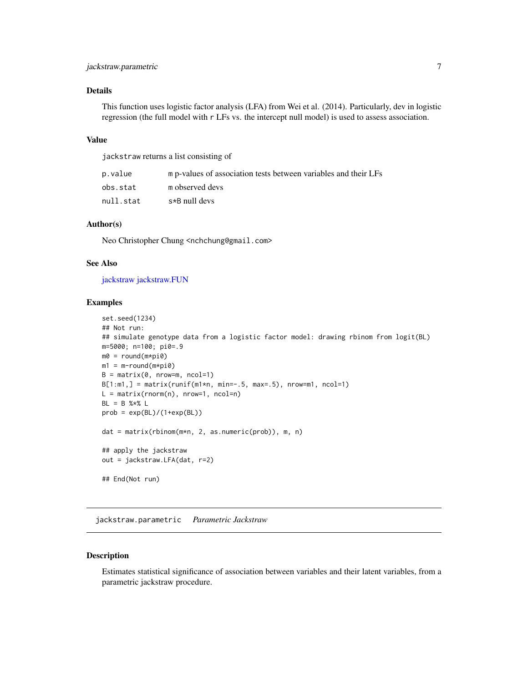#### <span id="page-6-0"></span>jackstraw.parametric 7

#### Details

This function uses logistic factor analysis (LFA) from Wei et al. (2014). Particularly, dev in logistic regression (the full model with r LFs vs. the intercept null model) is used to assess association.

#### Value

jackstraw returns a list consisting of

| p.value   | m p-values of association tests between variables and their LFs |
|-----------|-----------------------------------------------------------------|
| obs.stat  | m observed devs                                                 |
| null.stat | s*B null devs                                                   |

#### Author(s)

Neo Christopher Chung <nchchung@gmail.com>

#### See Also

[jackstraw](#page-1-1) [jackstraw.FUN](#page-3-1)

#### Examples

```
set.seed(1234)
## Not run:
## simulate genotype data from a logistic factor model: drawing rbinom from logit(BL)
m=5000; n=100; pi0=.9
m0 = round(m*pi0)
m1 = m-round(m*pi\theta)
B = matrix(0, nrow=m, ncol=1)B[1:m1,] = matrix(runif(m1*n, min=-.5, max=.5), nrow=m1, ncol=1)L = matrix(rnorm(n), nrow=1, ncol=n)BL = B % * % Lprob = exp(BL)/(1+exp(BL))dat = matrix(rbinom(m*n, 2, as.numeric(prob)), m, n)
## apply the jackstraw
out = jackstraw.LFA(dat, r=2)
## End(Not run)
```
jackstraw.parametric *Parametric Jackstraw*

#### Description

Estimates statistical significance of association between variables and their latent variables, from a parametric jackstraw procedure.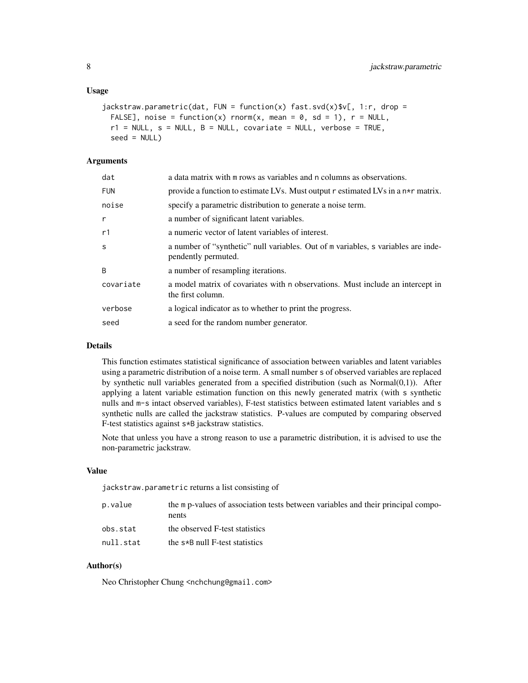#### Usage

```
jackstraw.parametric(data, FUN = function(x) fast.svd(x)\$v[, 1:r, drop =FALSE], noise = function(x) rnorm(x, mean = 0, sd = 1), r = NULL,
  r1 = NULL, s = NULL, B = NULL, covariate = NULL, verbose = TRUE,
  seed = NULL
```
#### Arguments

| dat        | a data matrix with m rows as variables and n columns as observations.                                    |
|------------|----------------------------------------------------------------------------------------------------------|
| <b>FUN</b> | provide a function to estimate LVs. Must output r estimated LVs in a n*r matrix.                         |
| noise      | specify a parametric distribution to generate a noise term.                                              |
| r          | a number of significant latent variables.                                                                |
| r1         | a numeric vector of latent variables of interest.                                                        |
| S          | a number of "synthetic" null variables. Out of m variables, s variables are inde-<br>pendently permuted. |
| B          | a number of resampling iterations.                                                                       |
| covariate  | a model matrix of covariates with n observations. Must include an intercept in<br>the first column.      |
| verbose    | a logical indicator as to whether to print the progress.                                                 |
| seed       | a seed for the random number generator.                                                                  |

#### Details

This function estimates statistical significance of association between variables and latent variables using a parametric distribution of a noise term. A small number s of observed variables are replaced by synthetic null variables generated from a specified distribution (such as Normal(0,1)). After applying a latent variable estimation function on this newly generated matrix (with s synthetic nulls and m-s intact observed variables), F-test statistics between estimated latent variables and s synthetic nulls are called the jackstraw statistics. P-values are computed by comparing observed F-test statistics against s\*B jackstraw statistics.

Note that unless you have a strong reason to use a parametric distribution, it is advised to use the non-parametric jackstraw.

#### Value

jackstraw.parametric returns a list consisting of

| p.value   | the m p-values of association tests between variables and their principal compo-<br>nents |
|-----------|-------------------------------------------------------------------------------------------|
| obs.stat  | the observed F-test statistics                                                            |
| null.stat | the $s*B$ null F-test statistics                                                          |

#### Author(s)

Neo Christopher Chung <nchchung@gmail.com>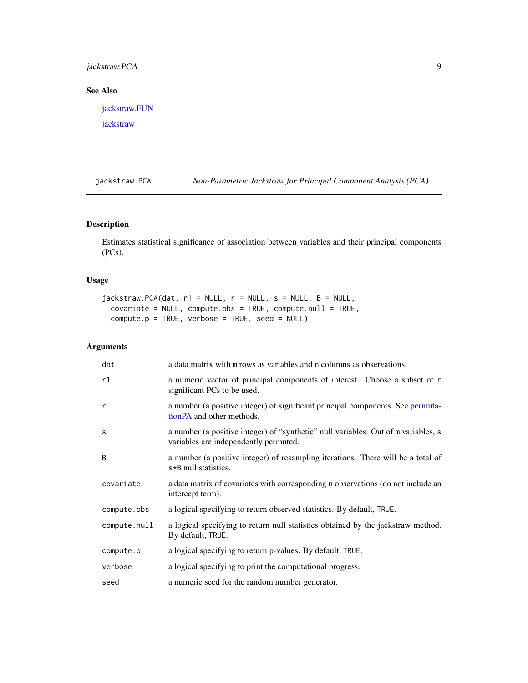#### <span id="page-8-0"></span>jackstraw.PCA 9

#### See Also

[jackstraw.FUN](#page-3-1)

[jackstraw](#page-1-1)

<span id="page-8-1"></span>jackstraw.PCA *Non-Parametric Jackstraw for Principal Component Analysis (PCA)*

#### Description

Estimates statistical significance of association between variables and their principal components (PCs).

#### Usage

```
jackstraw.PCA(data, r1 = NULL, r = NULL, s = NULL, B = NULL,covariate = NULL, compute.obs = TRUE, compute.null = TRUE,
 compute.p = TRUE, verbose = TRUE, seed = NULL)
```
#### Arguments

| dat          | a data matrix with m rows as variables and n columns as observations.                                                       |
|--------------|-----------------------------------------------------------------------------------------------------------------------------|
| r1           | a numeric vector of principal components of interest. Choose a subset of r<br>significant PCs to be used.                   |
| r            | a number (a positive integer) of significant principal components. See permuta-<br>tion PA and other methods.               |
| S            | a number (a positive integer) of "synthetic" null variables. Out of m variables, s<br>variables are independently permuted. |
| B            | a number (a positive integer) of resampling iterations. There will be a total of<br>s*B null statistics.                    |
| covariate    | a data matrix of covariates with corresponding n observations (do not include an<br>intercept term).                        |
| compute.obs  | a logical specifying to return observed statistics. By default, TRUE.                                                       |
| compute.null | a logical specifying to return null statistics obtained by the jackstraw method.<br>By default, TRUE.                       |
| compute.p    | a logical specifying to return p-values. By default, TRUE.                                                                  |
| verbose      | a logical specifying to print the computational progress.                                                                   |
| seed         | a numeric seed for the random number generator.                                                                             |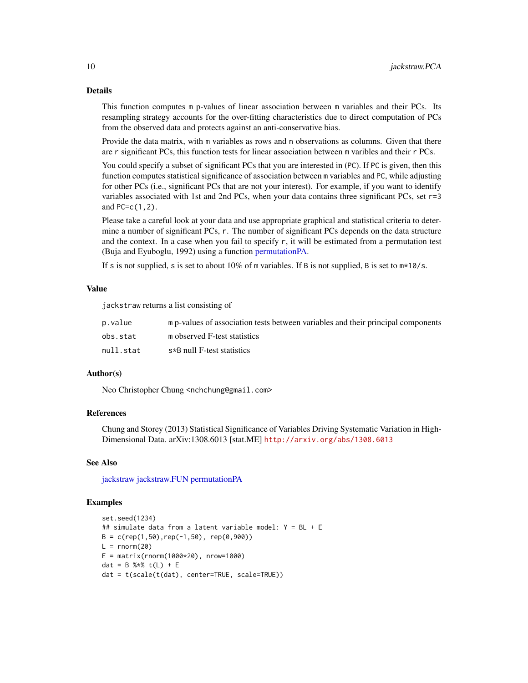#### Details

This function computes m p-values of linear association between m variables and their PCs. Its resampling strategy accounts for the over-fitting characteristics due to direct computation of PCs from the observed data and protects against an anti-conservative bias.

Provide the data matrix, with m variables as rows and n observations as columns. Given that there are r significant PCs, this function tests for linear association between m varibles and their r PCs.

You could specify a subset of significant PCs that you are interested in (PC). If PC is given, then this function computes statistical significance of association between m variables and PC, while adjusting for other PCs (i.e., significant PCs that are not your interest). For example, if you want to identify variables associated with 1st and 2nd PCs, when your data contains three significant PCs, set r=3 and PC=c(1,2).

Please take a careful look at your data and use appropriate graphical and statistical criteria to determine a number of significant PCs, r. The number of significant PCs depends on the data structure and the context. In a case when you fail to specify  $r$ , it will be estimated from a permutation test (Buja and Eyuboglu, 1992) using a function [permutationPA.](#page-11-1)

If s is not supplied, s is set to about 10% of m variables. If B is not supplied, B is set to  $m*10/s$ .

#### Value

jackstraw returns a list consisting of

| p.value   | m p-values of association tests between variables and their principal components |
|-----------|----------------------------------------------------------------------------------|
| obs.stat  | m observed F-test statistics                                                     |
| null.stat | s*B null F-test statistics                                                       |

#### Author(s)

Neo Christopher Chung <nchchung@gmail.com>

#### References

Chung and Storey (2013) Statistical Significance of Variables Driving Systematic Variation in High-Dimensional Data. arXiv:1308.6013 [stat.ME] <http://arxiv.org/abs/1308.6013>

#### See Also

[jackstraw](#page-1-1) [jackstraw.FUN](#page-3-1) [permutationPA](#page-11-1)

#### Examples

```
set.seed(1234)
## simulate data from a latent variable model: Y = BL + E
B = c(rep(1,50), rep(-1,50), rep(0,900))L = rnorm(20)E = matrix(rnorm(1000*20), nrow=1000)dat = B %*% t(L) + E
dat = t(scale(t(dat), center=TRUE, scale=TRUE))
```
<span id="page-9-0"></span>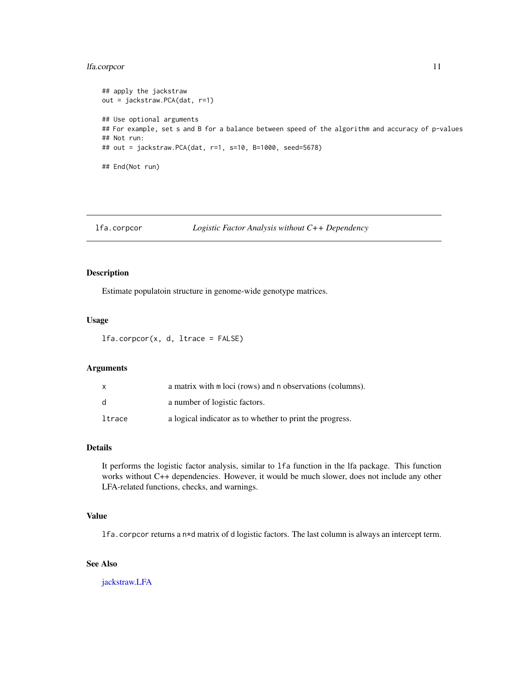#### <span id="page-10-0"></span>lfa.corpcor 11

```
## apply the jackstraw
out = jackstraw.PCA(dat, r=1)
## Use optional arguments
## For example, set s and B for a balance between speed of the algorithm and accuracy of p-values
## Not run:
## out = jackstraw.PCA(dat, r=1, s=10, B=1000, seed=5678)
## End(Not run)
```
#### lfa.corpcor *Logistic Factor Analysis without C++ Dependency*

#### Description

Estimate populatoin structure in genome-wide genotype matrices.

#### Usage

 $lfa.corpor(x, d, Itrace = FALSE)$ 

#### Arguments

| x      | a matrix with m loci (rows) and n observations (columns). |
|--------|-----------------------------------------------------------|
| d.     | a number of logistic factors.                             |
| ltrace | a logical indicator as to whether to print the progress.  |

#### Details

It performs the logistic factor analysis, similar to lfa function in the lfa package. This function works without C++ dependencies. However, it would be much slower, does not include any other LFA-related functions, checks, and warnings.

#### Value

lfa.corpcor returns a n\*d matrix of d logistic factors. The last column is always an intercept term.

#### See Also

[jackstraw.LFA](#page-5-1)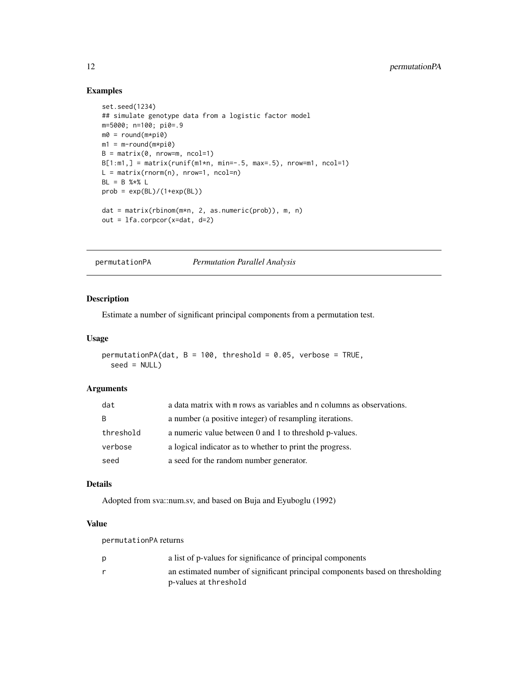#### <span id="page-11-0"></span>Examples

```
set.seed(1234)
## simulate genotype data from a logistic factor model
m=5000; n=100; pi0=.9
m0 = round(m * pi0)m1 = m-round(m * pi0)
B = matrix(0, nrow=m, ncol=1)B[1:m1, ] = matrix(runif(m1*n, min=-.5, max=.5), nrow=m1, ncol=1)L = matrix(rnorm(n), nrow=1, ncol=n)
BL = B % * % Lprob = exp(BL)/(1+exp(BL))dat = matrix(rbinom(m*n, 2, as.numeric(prob)), m, n)
out = lfa.corpcor(x=dat, d=2)
```
<span id="page-11-1"></span>permutationPA *Permutation Parallel Analysis*

#### Description

Estimate a number of significant principal components from a permutation test.

#### Usage

```
permutationPA(dat, B = 100, threshold = 0.05, verbose = TRUE,
  seed = NULL)
```
#### Arguments

| dat       | a data matrix with $m$ rows as variables and $n$ columns as observations. |
|-----------|---------------------------------------------------------------------------|
| B         | a number (a positive integer) of resampling iterations.                   |
| threshold | a numeric value between 0 and 1 to threshold p-values.                    |
| verbose   | a logical indicator as to whether to print the progress.                  |
| seed      | a seed for the random number generator.                                   |

#### Details

Adopted from sva::num.sv, and based on Buja and Eyuboglu (1992)

#### Value

permutationPA returns

| a list of p-values for significance of principal components                   |
|-------------------------------------------------------------------------------|
| an estimated number of significant principal components based on thresholding |
| p-values at threshold                                                         |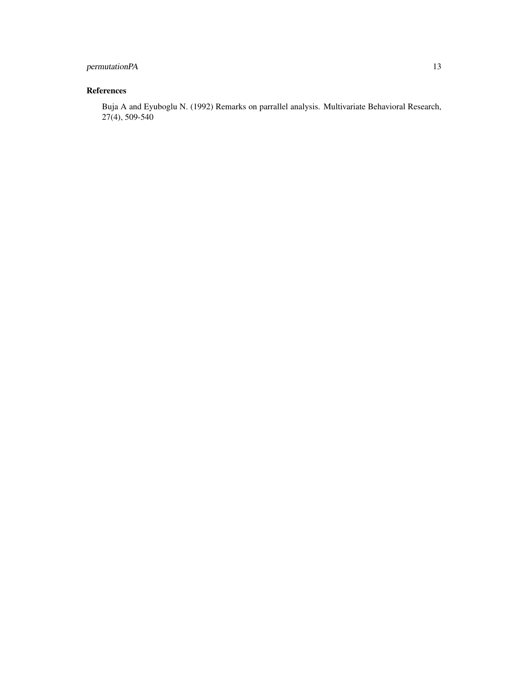#### permutationPA 13

#### References

Buja A and Eyuboglu N. (1992) Remarks on parrallel analysis. Multivariate Behavioral Research, 27(4), 509-540